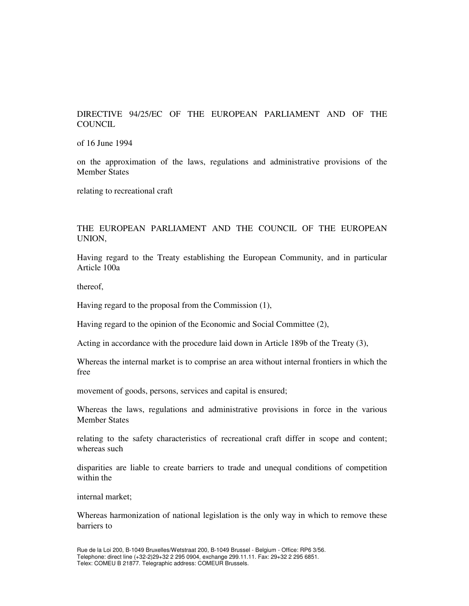# DIRECTIVE 94/25/EC OF THE EUROPEAN PARLIAMENT AND OF THE **COUNCIL**

of 16 June 1994

on the approximation of the laws, regulations and administrative provisions of the Member States

relating to recreational craft

# THE EUROPEAN PARLIAMENT AND THE COUNCIL OF THE EUROPEAN UNION,

Having regard to the Treaty establishing the European Community, and in particular Article 100a

thereof,

Having regard to the proposal from the Commission (1),

Having regard to the opinion of the Economic and Social Committee (2),

Acting in accordance with the procedure laid down in Article 189b of the Treaty (3),

Whereas the internal market is to comprise an area without internal frontiers in which the free

movement of goods, persons, services and capital is ensured;

Whereas the laws, regulations and administrative provisions in force in the various Member States

relating to the safety characteristics of recreational craft differ in scope and content; whereas such

disparities are liable to create barriers to trade and unequal conditions of competition within the

internal market;

Whereas harmonization of national legislation is the only way in which to remove these barriers to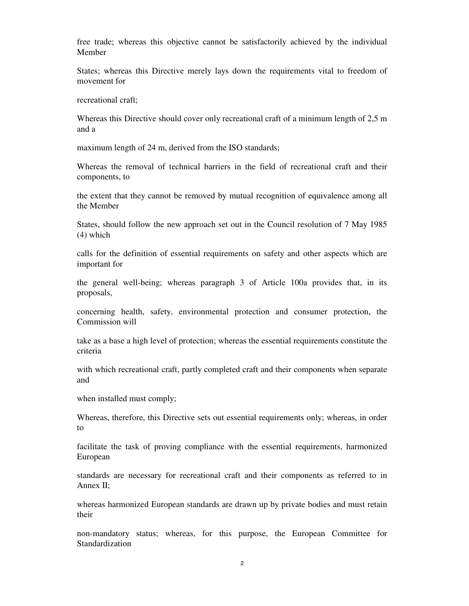free trade; whereas this objective cannot be satisfactorily achieved by the individual Member

States; whereas this Directive merely lays down the requirements vital to freedom of movement for

recreational craft;

Whereas this Directive should cover only recreational craft of a minimum length of 2,5 m and a

maximum length of 24 m, derived from the ISO standards;

Whereas the removal of technical barriers in the field of recreational craft and their components, to

the extent that they cannot be removed by mutual recognition of equivalence among all the Member

States, should follow the new approach set out in the Council resolution of 7 May 1985 (4) which

calls for the definition of essential requirements on safety and other aspects which are important for

the general well-being; whereas paragraph 3 of Article 100a provides that, in its proposals,

concerning health, safety, environmental protection and consumer protection, the Commission will

take as a base a high level of protection; whereas the essential requirements constitute the criteria

with which recreational craft, partly completed craft and their components when separate and

when installed must comply;

Whereas, therefore, this Directive sets out essential requirements only; whereas, in order to

facilitate the task of proving compliance with the essential requirements, harmonized European

standards are necessary for recreational craft and their components as referred to in Annex II;

whereas harmonized European standards are drawn up by private bodies and must retain their

non-mandatory status; whereas, for this purpose, the European Committee for Standardization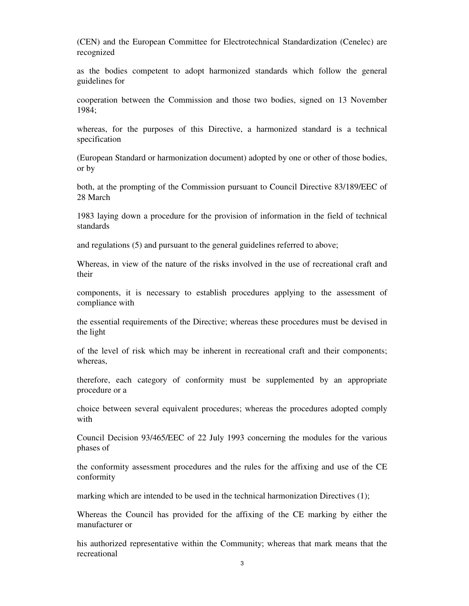(CEN) and the European Committee for Electrotechnical Standardization (Cenelec) are recognized

as the bodies competent to adopt harmonized standards which follow the general guidelines for

cooperation between the Commission and those two bodies, signed on 13 November 1984;

whereas, for the purposes of this Directive, a harmonized standard is a technical specification

(European Standard or harmonization document) adopted by one or other of those bodies, or by

both, at the prompting of the Commission pursuant to Council Directive 83/189/EEC of 28 March

1983 laying down a procedure for the provision of information in the field of technical standards

and regulations (5) and pursuant to the general guidelines referred to above;

Whereas, in view of the nature of the risks involved in the use of recreational craft and their

components, it is necessary to establish procedures applying to the assessment of compliance with

the essential requirements of the Directive; whereas these procedures must be devised in the light

of the level of risk which may be inherent in recreational craft and their components; whereas,

therefore, each category of conformity must be supplemented by an appropriate procedure or a

choice between several equivalent procedures; whereas the procedures adopted comply with

Council Decision 93/465/EEC of 22 July 1993 concerning the modules for the various phases of

the conformity assessment procedures and the rules for the affixing and use of the CE conformity

marking which are intended to be used in the technical harmonization Directives (1);

Whereas the Council has provided for the affixing of the CE marking by either the manufacturer or

his authorized representative within the Community; whereas that mark means that the recreational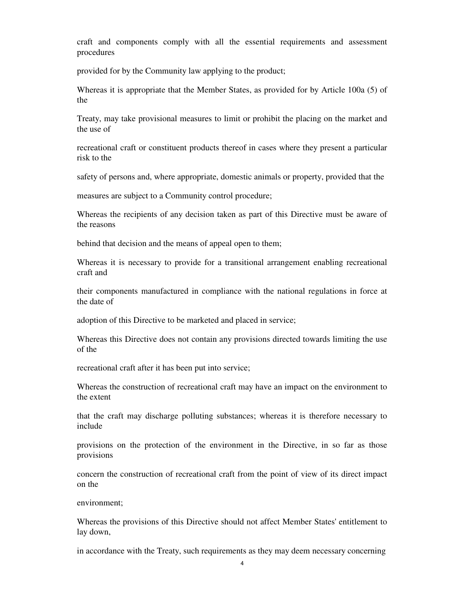craft and components comply with all the essential requirements and assessment procedures

provided for by the Community law applying to the product;

Whereas it is appropriate that the Member States, as provided for by Article 100a (5) of the

Treaty, may take provisional measures to limit or prohibit the placing on the market and the use of

recreational craft or constituent products thereof in cases where they present a particular risk to the

safety of persons and, where appropriate, domestic animals or property, provided that the

measures are subject to a Community control procedure;

Whereas the recipients of any decision taken as part of this Directive must be aware of the reasons

behind that decision and the means of appeal open to them;

Whereas it is necessary to provide for a transitional arrangement enabling recreational craft and

their components manufactured in compliance with the national regulations in force at the date of

adoption of this Directive to be marketed and placed in service;

Whereas this Directive does not contain any provisions directed towards limiting the use of the

recreational craft after it has been put into service;

Whereas the construction of recreational craft may have an impact on the environment to the extent

that the craft may discharge polluting substances; whereas it is therefore necessary to include

provisions on the protection of the environment in the Directive, in so far as those provisions

concern the construction of recreational craft from the point of view of its direct impact on the

environment;

Whereas the provisions of this Directive should not affect Member States' entitlement to lay down,

in accordance with the Treaty, such requirements as they may deem necessary concerning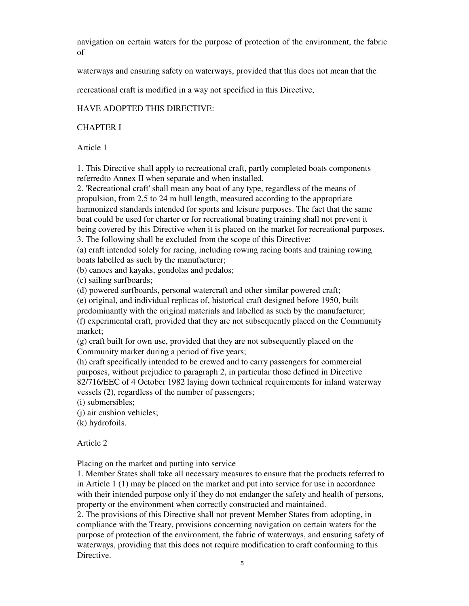navigation on certain waters for the purpose of protection of the environment, the fabric of

waterways and ensuring safety on waterways, provided that this does not mean that the

recreational craft is modified in a way not specified in this Directive,

### HAVE ADOPTED THIS DIRECTIVE:

#### CHAPTER I

Article 1

1. This Directive shall apply to recreational craft, partly completed boats components referredto Annex II when separate and when installed.

2. 'Recreational craft' shall mean any boat of any type, regardless of the means of propulsion, from 2,5 to 24 m hull length, measured according to the appropriate harmonized standards intended for sports and leisure purposes. The fact that the same boat could be used for charter or for recreational boating training shall not prevent it being covered by this Directive when it is placed on the market for recreational purposes. 3. The following shall be excluded from the scope of this Directive:

(a) craft intended solely for racing, including rowing racing boats and training rowing boats labelled as such by the manufacturer;

(b) canoes and kayaks, gondolas and pedalos;

(c) sailing surfboards;

(d) powered surfboards, personal watercraft and other similar powered craft;

(e) original, and individual replicas of, historical craft designed before 1950, built

predominantly with the original materials and labelled as such by the manufacturer;

(f) experimental craft, provided that they are not subsequently placed on the Community market;

(g) craft built for own use, provided that they are not subsequently placed on the Community market during a period of five years;

(h) craft specifically intended to be crewed and to carry passengers for commercial purposes, without prejudice to paragraph 2, in particular those defined in Directive 82/716/EEC of 4 October 1982 laying down technical requirements for inland waterway vessels (2), regardless of the number of passengers;

(i) submersibles;

(j) air cushion vehicles;

(k) hydrofoils.

Article 2

Placing on the market and putting into service

1. Member States shall take all necessary measures to ensure that the products referred to in Article 1 (1) may be placed on the market and put into service for use in accordance with their intended purpose only if they do not endanger the safety and health of persons, property or the environment when correctly constructed and maintained.

2. The provisions of this Directive shall not prevent Member States from adopting, in compliance with the Treaty, provisions concerning navigation on certain waters for the purpose of protection of the environment, the fabric of waterways, and ensuring safety of waterways, providing that this does not require modification to craft conforming to this Directive.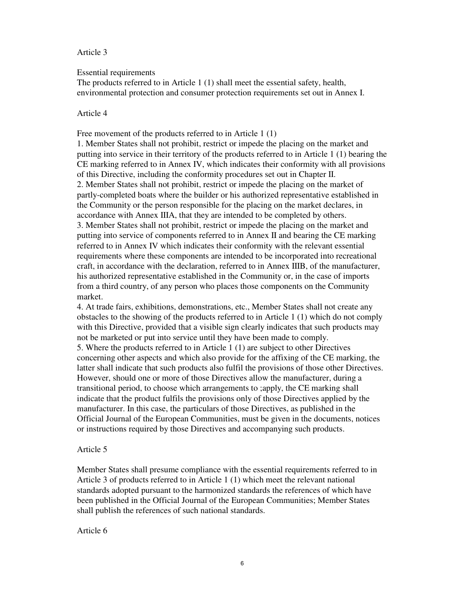## Article 3

### Essential requirements

The products referred to in Article 1 (1) shall meet the essential safety, health, environmental protection and consumer protection requirements set out in Annex I.

### Article 4

### Free movement of the products referred to in Article 1 (1)

1. Member States shall not prohibit, restrict or impede the placing on the market and putting into service in their territory of the products referred to in Article 1 (1) bearing the CE marking referred to in Annex IV, which indicates their conformity with all provisions of this Directive, including the conformity procedures set out in Chapter II. 2. Member States shall not prohibit, restrict or impede the placing on the market of partly-completed boats where the builder or his authorized representative established in the Community or the person responsible for the placing on the market declares, in accordance with Annex IIIA, that they are intended to be completed by others. 3. Member States shall not prohibit, restrict or impede the placing on the market and putting into service of components referred to in Annex II and bearing the CE marking referred to in Annex IV which indicates their conformity with the relevant essential requirements where these components are intended to be incorporated into recreational craft, in accordance with the declaration, referred to in Annex IIIB, of the manufacturer, his authorized representative established in the Community or, in the case of imports from a third country, of any person who places those components on the Community market.

4. At trade fairs, exhibitions, demonstrations, etc., Member States shall not create any obstacles to the showing of the products referred to in Article 1 (1) which do not comply with this Directive, provided that a visible sign clearly indicates that such products may not be marketed or put into service until they have been made to comply.

5. Where the products referred to in Article 1 (1) are subject to other Directives concerning other aspects and which also provide for the affixing of the CE marking, the latter shall indicate that such products also fulfil the provisions of those other Directives. However, should one or more of those Directives allow the manufacturer, during a transitional period, to choose which arrangements to ;apply, the CE marking shall indicate that the product fulfils the provisions only of those Directives applied by the manufacturer. In this case, the particulars of those Directives, as published in the Official Journal of the European Communities, must be given in the documents, notices or instructions required by those Directives and accompanying such products.

#### Article 5

Member States shall presume compliance with the essential requirements referred to in Article 3 of products referred to in Article 1 (1) which meet the relevant national standards adopted pursuant to the harmonized standards the references of which have been published in the Official Journal of the European Communities; Member States shall publish the references of such national standards.

#### Article 6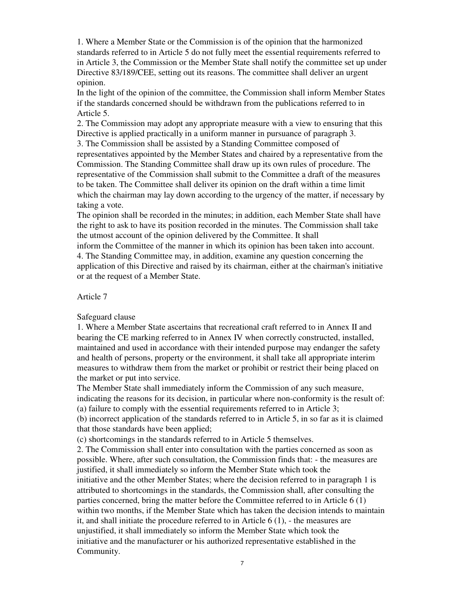1. Where a Member State or the Commission is of the opinion that the harmonized standards referred to in Article 5 do not fully meet the essential requirements referred to in Article 3, the Commission or the Member State shall notify the committee set up under Directive 83/189/CEE, setting out its reasons. The committee shall deliver an urgent opinion.

In the light of the opinion of the committee, the Commission shall inform Member States if the standards concerned should be withdrawn from the publications referred to in Article 5.

2. The Commission may adopt any appropriate measure with a view to ensuring that this Directive is applied practically in a uniform manner in pursuance of paragraph 3. 3. The Commission shall be assisted by a Standing Committee composed of representatives appointed by the Member States and chaired by a representative from the Commission. The Standing Committee shall draw up its own rules of procedure. The representative of the Commission shall submit to the Committee a draft of the measures to be taken. The Committee shall deliver its opinion on the draft within a time limit which the chairman may lay down according to the urgency of the matter, if necessary by taking a vote.

The opinion shall be recorded in the minutes; in addition, each Member State shall have the right to ask to have its position recorded in the minutes. The Commission shall take the utmost account of the opinion delivered by the Committee. It shall

inform the Committee of the manner in which its opinion has been taken into account. 4. The Standing Committee may, in addition, examine any question concerning the application of this Directive and raised by its chairman, either at the chairman's initiative or at the request of a Member State.

#### Article 7

#### Safeguard clause

1. Where a Member State ascertains that recreational craft referred to in Annex II and bearing the CE marking referred to in Annex IV when correctly constructed, installed, maintained and used in accordance with their intended purpose may endanger the safety and health of persons, property or the environment, it shall take all appropriate interim measures to withdraw them from the market or prohibit or restrict their being placed on the market or put into service.

The Member State shall immediately inform the Commission of any such measure, indicating the reasons for its decision, in particular where non-conformity is the result of: (a) failure to comply with the essential requirements referred to in Article 3;

(b) incorrect application of the standards referred to in Article 5, in so far as it is claimed that those standards have been applied;

(c) shortcomings in the standards referred to in Article 5 themselves.

2. The Commission shall enter into consultation with the parties concerned as soon as possible. Where, after such consultation, the Commission finds that: - the measures are justified, it shall immediately so inform the Member State which took the initiative and the other Member States; where the decision referred to in paragraph 1 is attributed to shortcomings in the standards, the Commission shall, after consulting the parties concerned, bring the matter before the Committee referred to in Article 6 (1) within two months, if the Member State which has taken the decision intends to maintain it, and shall initiate the procedure referred to in Article 6 (1), - the measures are unjustified, it shall immediately so inform the Member State which took the initiative and the manufacturer or his authorized representative established in the Community.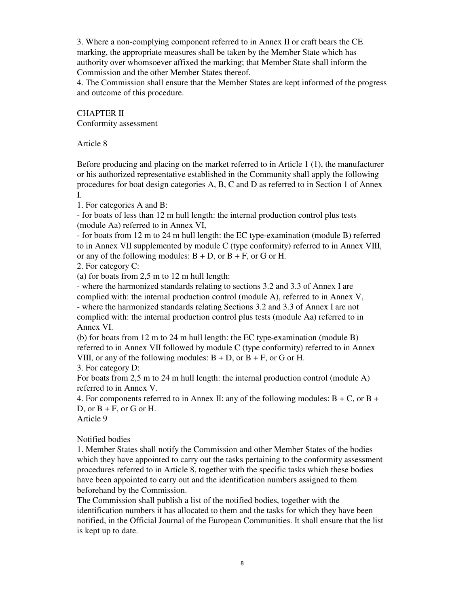3. Where a non-complying component referred to in Annex II or craft bears the CE marking, the appropriate measures shall be taken by the Member State which has authority over whomsoever affixed the marking; that Member State shall inform the Commission and the other Member States thereof.

4. The Commission shall ensure that the Member States are kept informed of the progress and outcome of this procedure.

CHAPTER II Conformity assessment

Article 8

Before producing and placing on the market referred to in Article 1 (1), the manufacturer or his authorized representative established in the Community shall apply the following procedures for boat design categories A, B, C and D as referred to in Section 1 of Annex I.

1. For categories A and B:

- for boats of less than 12 m hull length: the internal production control plus tests (module Aa) referred to in Annex VI,

- for boats from 12 m to 24 m hull length: the EC type-examination (module B) referred to in Annex VII supplemented by module C (type conformity) referred to in Annex VIII, or any of the following modules:  $B + D$ , or  $B + F$ , or G or H.

2. For category C:

(a) for boats from 2,5 m to 12 m hull length:

- where the harmonized standards relating to sections 3.2 and 3.3 of Annex I are complied with: the internal production control (module A), referred to in Annex V, - where the harmonized standards relating Sections 3.2 and 3.3 of Annex I are not complied with: the internal production control plus tests (module Aa) referred to in Annex VI.

(b) for boats from 12 m to 24 m hull length: the EC type-examination (module B) referred to in Annex VII followed by module C (type conformity) referred to in Annex VIII, or any of the following modules:  $B + D$ , or  $B + F$ , or  $G$  or  $H$ .

3. For category D:

For boats from 2,5 m to 24 m hull length: the internal production control (module A) referred to in Annex V.

4. For components referred to in Annex II: any of the following modules:  $B + C$ , or  $B + C$ D, or  $B + F$ , or G or H.

Article 9

## Notified bodies

1. Member States shall notify the Commission and other Member States of the bodies which they have appointed to carry out the tasks pertaining to the conformity assessment procedures referred to in Article 8, together with the specific tasks which these bodies have been appointed to carry out and the identification numbers assigned to them beforehand by the Commission.

The Commission shall publish a list of the notified bodies, together with the identification numbers it has allocated to them and the tasks for which they have been notified, in the Official Journal of the European Communities. It shall ensure that the list is kept up to date.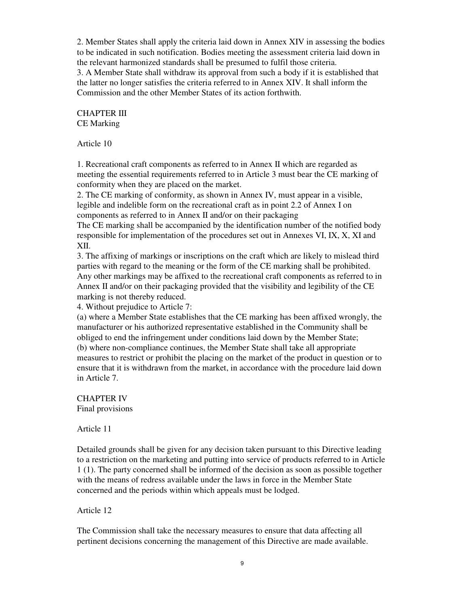2. Member States shall apply the criteria laid down in Annex XIV in assessing the bodies to be indicated in such notification. Bodies meeting the assessment criteria laid down in the relevant harmonized standards shall be presumed to fulfil those criteria.

3. A Member State shall withdraw its approval from such a body if it is established that the latter no longer satisfies the criteria referred to in Annex XIV. It shall inform the Commission and the other Member States of its action forthwith.

CHAPTER III CE Marking

Article 10

1. Recreational craft components as referred to in Annex II which are regarded as meeting the essential requirements referred to in Article 3 must bear the CE marking of conformity when they are placed on the market.

2. The CE marking of conformity, as shown in Annex IV, must appear in a visible, legible and indelible form on the recreational craft as in point 2.2 of Annex I on components as referred to in Annex II and/or on their packaging

The CE marking shall be accompanied by the identification number of the notified body responsible for implementation of the procedures set out in Annexes VI, IX, X, XI and XII.

3. The affixing of markings or inscriptions on the craft which are likely to mislead third parties with regard to the meaning or the form of the CE marking shall be prohibited. Any other markings may be affixed to the recreational craft components as referred to in Annex II and/or on their packaging provided that the visibility and legibility of the CE marking is not thereby reduced.

4. Without prejudice to Article 7:

(a) where a Member State establishes that the CE marking has been affixed wrongly, the manufacturer or his authorized representative established in the Community shall be obliged to end the infringement under conditions laid down by the Member State; (b) where non-compliance continues, the Member State shall take all appropriate measures to restrict or prohibit the placing on the market of the product in question or to ensure that it is withdrawn from the market, in accordance with the procedure laid down in Article 7.

CHAPTER IV Final provisions

Article 11

Detailed grounds shall be given for any decision taken pursuant to this Directive leading to a restriction on the marketing and putting into service of products referred to in Article 1 (1). The party concerned shall be informed of the decision as soon as possible together with the means of redress available under the laws in force in the Member State concerned and the periods within which appeals must be lodged.

Article 12

The Commission shall take the necessary measures to ensure that data affecting all pertinent decisions concerning the management of this Directive are made available.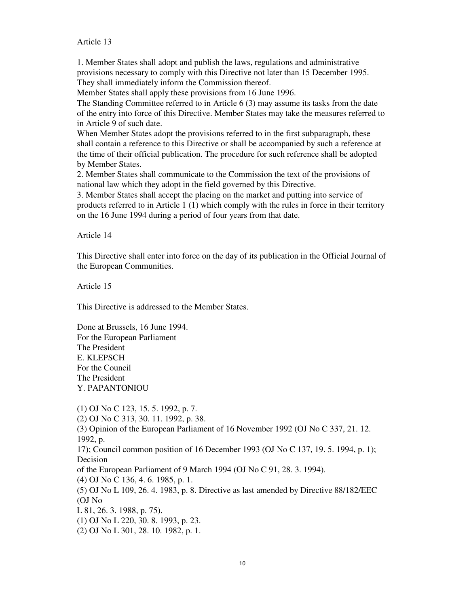## Article 13

1. Member States shall adopt and publish the laws, regulations and administrative provisions necessary to comply with this Directive not later than 15 December 1995. They shall immediately inform the Commission thereof.

Member States shall apply these provisions from 16 June 1996.

The Standing Committee referred to in Article 6 (3) may assume its tasks from the date of the entry into force of this Directive. Member States may take the measures referred to in Article 9 of such date.

When Member States adopt the provisions referred to in the first subparagraph, these shall contain a reference to this Directive or shall be accompanied by such a reference at the time of their official publication. The procedure for such reference shall be adopted by Member States.

2. Member States shall communicate to the Commission the text of the provisions of national law which they adopt in the field governed by this Directive.

3. Member States shall accept the placing on the market and putting into service of products referred to in Article 1 (1) which comply with the rules in force in their territory on the 16 June 1994 during a period of four years from that date.

Article 14

This Directive shall enter into force on the day of its publication in the Official Journal of the European Communities.

Article 15

This Directive is addressed to the Member States.

Done at Brussels, 16 June 1994. For the European Parliament The President E. KLEPSCH For the Council The President Y. PAPANTONIOU

(1) OJ No C 123, 15. 5. 1992, p. 7. (2) OJ No C 313, 30. 11. 1992, p. 38. (3) Opinion of the European Parliament of 16 November 1992 (OJ No C 337, 21. 12. 1992, p. 17); Council common position of 16 December 1993 (OJ No C 137, 19. 5. 1994, p. 1); Decision of the European Parliament of 9 March 1994 (OJ No C 91, 28. 3. 1994). (4) OJ No C 136, 4. 6. 1985, p. 1. (5) OJ No L 109, 26. 4. 1983, p. 8. Directive as last amended by Directive 88/182/EEC (OJ No L 81, 26. 3. 1988, p. 75). (1) OJ No L 220, 30. 8. 1993, p. 23. (2) OJ No L 301, 28. 10. 1982, p. 1.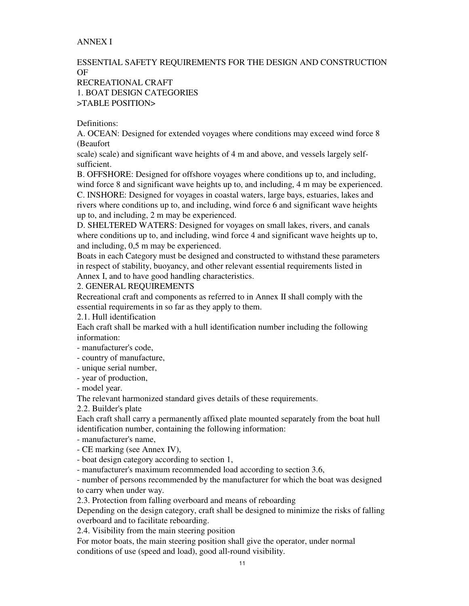# ANNEX I

## ESSENTIAL SAFETY REQUIREMENTS FOR THE DESIGN AND CONSTRUCTION OF

RECREATIONAL CRAFT 1. BOAT DESIGN CATEGORIES >TABLE POSITION>

## Definitions:

A. OCEAN: Designed for extended voyages where conditions may exceed wind force 8 (Beaufort

scale) scale) and significant wave heights of 4 m and above, and vessels largely selfsufficient.

B. OFFSHORE: Designed for offshore voyages where conditions up to, and including, wind force 8 and significant wave heights up to, and including, 4 m may be experienced. C. INSHORE: Designed for voyages in coastal waters, large bays, estuaries, lakes and rivers where conditions up to, and including, wind force 6 and significant wave heights up to, and including, 2 m may be experienced.

D. SHELTERED WATERS: Designed for voyages on small lakes, rivers, and canals where conditions up to, and including, wind force 4 and significant wave heights up to, and including, 0,5 m may be experienced.

Boats in each Category must be designed and constructed to withstand these parameters in respect of stability, buoyancy, and other relevant essential requirements listed in Annex I, and to have good handling characteristics.

### 2. GENERAL REQUIREMENTS

Recreational craft and components as referred to in Annex II shall comply with the essential requirements in so far as they apply to them.

2.1. Hull identification

Each craft shall be marked with a hull identification number including the following information:

- manufacturer's code,
- country of manufacture,
- unique serial number,
- year of production,

- model year.

The relevant harmonized standard gives details of these requirements.

2.2. Builder's plate

Each craft shall carry a permanently affixed plate mounted separately from the boat hull identification number, containing the following information:

- manufacturer's name,
- CE marking (see Annex IV),
- boat design category according to section 1,
- manufacturer's maximum recommended load according to section 3.6,

- number of persons recommended by the manufacturer for which the boat was designed to carry when under way.

2.3. Protection from falling overboard and means of reboarding

Depending on the design category, craft shall be designed to minimize the risks of falling overboard and to facilitate reboarding.

2.4. Visibility from the main steering position

For motor boats, the main steering position shall give the operator, under normal conditions of use (speed and load), good all-round visibility.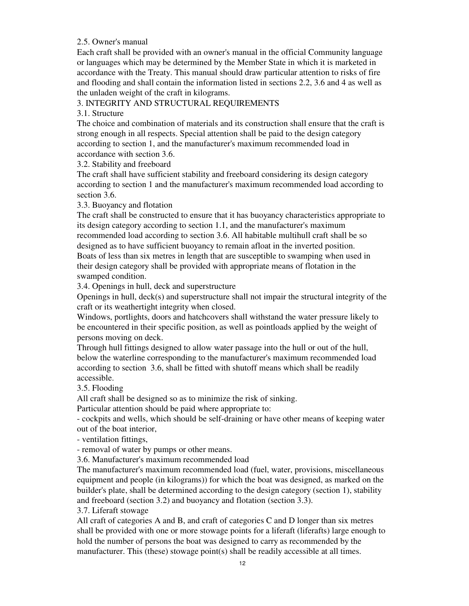# 2.5. Owner's manual

Each craft shall be provided with an owner's manual in the official Community language or languages which may be determined by the Member State in which it is marketed in accordance with the Treaty. This manual should draw particular attention to risks of fire and flooding and shall contain the information listed in sections 2.2, 3.6 and 4 as well as the unladen weight of the craft in kilograms.

# 3. INTEGRITY AND STRUCTURAL REQUIREMENTS

# 3.1. Structure

The choice and combination of materials and its construction shall ensure that the craft is strong enough in all respects. Special attention shall be paid to the design category according to section 1, and the manufacturer's maximum recommended load in accordance with section 3.6.

3.2. Stability and freeboard

The craft shall have sufficient stability and freeboard considering its design category according to section 1 and the manufacturer's maximum recommended load according to section 3.6.

3.3. Buoyancy and flotation

The craft shall be constructed to ensure that it has buoyancy characteristics appropriate to its design category according to section 1.1, and the manufacturer's maximum recommended load according to section 3.6. All habitable multihull craft shall be so designed as to have sufficient buoyancy to remain afloat in the inverted position. Boats of less than six metres in length that are susceptible to swamping when used in their design category shall be provided with appropriate means of flotation in the swamped condition.

3.4. Openings in hull, deck and superstructure

Openings in hull, deck(s) and superstructure shall not impair the structural integrity of the craft or its weathertight integrity when closed.

Windows, portlights, doors and hatchcovers shall withstand the water pressure likely to be encountered in their specific position, as well as pointloads applied by the weight of persons moving on deck.

Through hull fittings designed to allow water passage into the hull or out of the hull, below the waterline corresponding to the manufacturer's maximum recommended load according to section 3.6, shall be fitted with shutoff means which shall be readily accessible.

3.5. Flooding

All craft shall be designed so as to minimize the risk of sinking.

Particular attention should be paid where appropriate to:

- cockpits and wells, which should be self-draining or have other means of keeping water out of the boat interior,

- ventilation fittings,

- removal of water by pumps or other means.

3.6. Manufacturer's maximum recommended load

The manufacturer's maximum recommended load (fuel, water, provisions, miscellaneous equipment and people (in kilograms)) for which the boat was designed, as marked on the builder's plate, shall be determined according to the design category (section 1), stability and freeboard (section 3.2) and buoyancy and flotation (section 3.3).

3.7. Liferaft stowage

All craft of categories A and B, and craft of categories C and D longer than six metres shall be provided with one or more stowage points for a liferaft (liferafts) large enough to hold the number of persons the boat was designed to carry as recommended by the manufacturer. This (these) stowage point(s) shall be readily accessible at all times.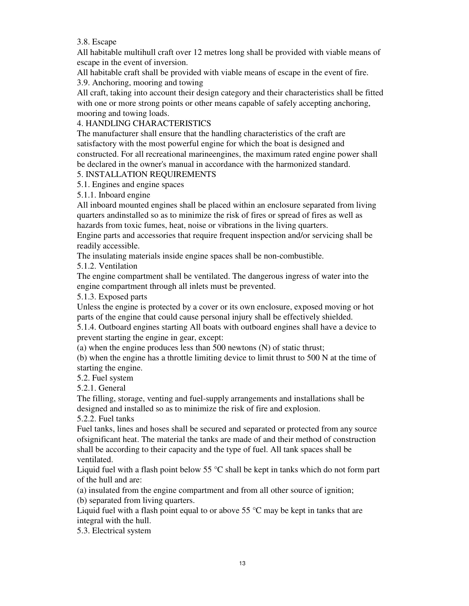3.8. Escape

All habitable multihull craft over 12 metres long shall be provided with viable means of escape in the event of inversion.

All habitable craft shall be provided with viable means of escape in the event of fire.

3.9. Anchoring, mooring and towing

All craft, taking into account their design category and their characteristics shall be fitted with one or more strong points or other means capable of safely accepting anchoring, mooring and towing loads.

4. HANDLING CHARACTERISTICS

The manufacturer shall ensure that the handling characteristics of the craft are satisfactory with the most powerful engine for which the boat is designed and constructed. For all recreational marineengines, the maximum rated engine power shall be declared in the owner's manual in accordance with the harmonized standard.

5. INSTALLATION REQUIREMENTS

5.1. Engines and engine spaces

5.1.1. Inboard engine

All inboard mounted engines shall be placed within an enclosure separated from living quarters andinstalled so as to minimize the risk of fires or spread of fires as well as hazards from toxic fumes, heat, noise or vibrations in the living quarters.

Engine parts and accessories that require frequent inspection and/or servicing shall be readily accessible.

The insulating materials inside engine spaces shall be non-combustible.

5.1.2. Ventilation

The engine compartment shall be ventilated. The dangerous ingress of water into the engine compartment through all inlets must be prevented.

5.1.3. Exposed parts

Unless the engine is protected by a cover or its own enclosure, exposed moving or hot parts of the engine that could cause personal injury shall be effectively shielded.

5.1.4. Outboard engines starting All boats with outboard engines shall have a device to prevent starting the engine in gear, except:

(a) when the engine produces less than 500 newtons (N) of static thrust;

(b) when the engine has a throttle limiting device to limit thrust to 500 N at the time of starting the engine.

5.2. Fuel system

5.2.1. General

The filling, storage, venting and fuel-supply arrangements and installations shall be designed and installed so as to minimize the risk of fire and explosion.

5.2.2. Fuel tanks

Fuel tanks, lines and hoses shall be secured and separated or protected from any source ofsignificant heat. The material the tanks are made of and their method of construction shall be according to their capacity and the type of fuel. All tank spaces shall be ventilated.

Liquid fuel with a flash point below 55  $\degree$ C shall be kept in tanks which do not form part of the hull and are:

(a) insulated from the engine compartment and from all other source of ignition;

(b) separated from living quarters.

Liquid fuel with a flash point equal to or above  $55^{\circ}$ C may be kept in tanks that are integral with the hull.

5.3. Electrical system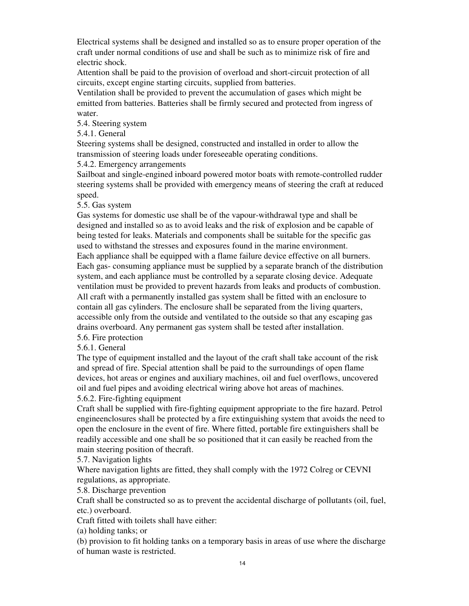Electrical systems shall be designed and installed so as to ensure proper operation of the craft under normal conditions of use and shall be such as to minimize risk of fire and electric shock.

Attention shall be paid to the provision of overload and short-circuit protection of all circuits, except engine starting circuits, supplied from batteries.

Ventilation shall be provided to prevent the accumulation of gases which might be emitted from batteries. Batteries shall be firmly secured and protected from ingress of water.

5.4. Steering system

5.4.1. General

Steering systems shall be designed, constructed and installed in order to allow the transmission of steering loads under foreseeable operating conditions.

5.4.2. Emergency arrangements

Sailboat and single-engined inboard powered motor boats with remote-controlled rudder steering systems shall be provided with emergency means of steering the craft at reduced speed.

5.5. Gas system

Gas systems for domestic use shall be of the vapour-withdrawal type and shall be designed and installed so as to avoid leaks and the risk of explosion and be capable of being tested for leaks. Materials and components shall be suitable for the specific gas used to withstand the stresses and exposures found in the marine environment. Each appliance shall be equipped with a flame failure device effective on all burners. Each gas- consuming appliance must be supplied by a separate branch of the distribution system, and each appliance must be controlled by a separate closing device. Adequate ventilation must be provided to prevent hazards from leaks and products of combustion. All craft with a permanently installed gas system shall be fitted with an enclosure to contain all gas cylinders. The enclosure shall be separated from the living quarters, accessible only from the outside and ventilated to the outside so that any escaping gas drains overboard. Any permanent gas system shall be tested after installation. 5.6. Fire protection

5.6.1. General

The type of equipment installed and the layout of the craft shall take account of the risk and spread of fire. Special attention shall be paid to the surroundings of open flame devices, hot areas or engines and auxiliary machines, oil and fuel overflows, uncovered oil and fuel pipes and avoiding electrical wiring above hot areas of machines.

5.6.2. Fire-fighting equipment

Craft shall be supplied with fire-fighting equipment appropriate to the fire hazard. Petrol engineenclosures shall be protected by a fire extinguishing system that avoids the need to open the enclosure in the event of fire. Where fitted, portable fire extinguishers shall be readily accessible and one shall be so positioned that it can easily be reached from the main steering position of thecraft.

5.7. Navigation lights

Where navigation lights are fitted, they shall comply with the 1972 Colreg or CEVNI regulations, as appropriate.

5.8. Discharge prevention

Craft shall be constructed so as to prevent the accidental discharge of pollutants (oil, fuel, etc.) overboard.

Craft fitted with toilets shall have either:

(a) holding tanks; or

(b) provision to fit holding tanks on a temporary basis in areas of use where the discharge of human waste is restricted.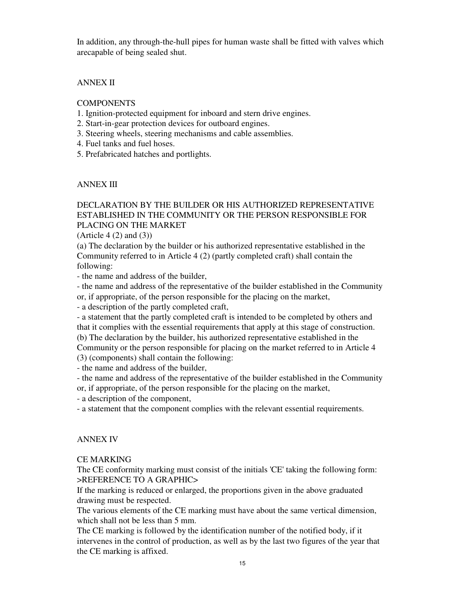In addition, any through-the-hull pipes for human waste shall be fitted with valves which arecapable of being sealed shut.

## ANNEX II

## **COMPONENTS**

- 1. Ignition-protected equipment for inboard and stern drive engines.
- 2. Start-in-gear protection devices for outboard engines.
- 3. Steering wheels, steering mechanisms and cable assemblies.
- 4. Fuel tanks and fuel hoses.
- 5. Prefabricated hatches and portlights.

## ANNEX III

## DECLARATION BY THE BUILDER OR HIS AUTHORIZED REPRESENTATIVE ESTABLISHED IN THE COMMUNITY OR THE PERSON RESPONSIBLE FOR PLACING ON THE MARKET

 $(Article 4 (2) and (3))$ 

(a) The declaration by the builder or his authorized representative established in the Community referred to in Article 4 (2) (partly completed craft) shall contain the following:

- the name and address of the builder,

- the name and address of the representative of the builder established in the Community or, if appropriate, of the person responsible for the placing on the market,

- a description of the partly completed craft,

- a statement that the partly completed craft is intended to be completed by others and that it complies with the essential requirements that apply at this stage of construction. (b) The declaration by the builder, his authorized representative established in the Community or the person responsible for placing on the market referred to in Article 4

(3) (components) shall contain the following:

- the name and address of the builder,

- the name and address of the representative of the builder established in the Community or, if appropriate, of the person responsible for the placing on the market,

- a description of the component,

- a statement that the component complies with the relevant essential requirements.

### ANNEX IV

#### CE MARKING

The CE conformity marking must consist of the initials 'CE' taking the following form: >REFERENCE TO A GRAPHIC>

If the marking is reduced or enlarged, the proportions given in the above graduated drawing must be respected.

The various elements of the CE marking must have about the same vertical dimension, which shall not be less than 5 mm.

The CE marking is followed by the identification number of the notified body, if it intervenes in the control of production, as well as by the last two figures of the year that the CE marking is affixed.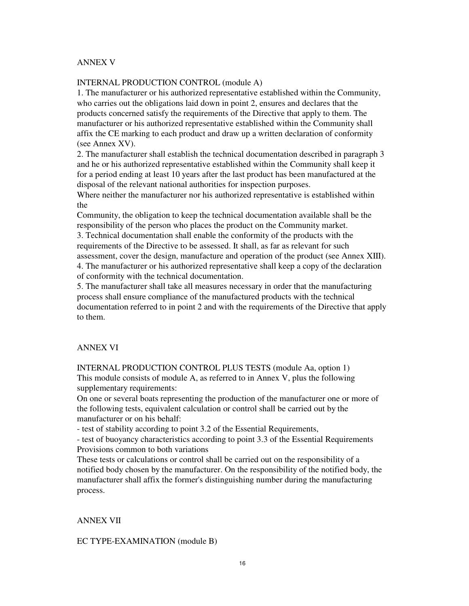### ANNEX V

#### INTERNAL PRODUCTION CONTROL (module A)

1. The manufacturer or his authorized representative established within the Community, who carries out the obligations laid down in point 2, ensures and declares that the products concerned satisfy the requirements of the Directive that apply to them. The manufacturer or his authorized representative established within the Community shall affix the CE marking to each product and draw up a written declaration of conformity (see Annex XV).

2. The manufacturer shall establish the technical documentation described in paragraph 3 and he or his authorized representative established within the Community shall keep it for a period ending at least 10 years after the last product has been manufactured at the disposal of the relevant national authorities for inspection purposes.

Where neither the manufacturer nor his authorized representative is established within the

Community, the obligation to keep the technical documentation available shall be the responsibility of the person who places the product on the Community market.

3. Technical documentation shall enable the conformity of the products with the requirements of the Directive to be assessed. It shall, as far as relevant for such assessment, cover the design, manufacture and operation of the product (see Annex XIII). 4. The manufacturer or his authorized representative shall keep a copy of the declaration of conformity with the technical documentation.

5. The manufacturer shall take all measures necessary in order that the manufacturing process shall ensure compliance of the manufactured products with the technical documentation referred to in point 2 and with the requirements of the Directive that apply to them.

#### ANNEX VI

INTERNAL PRODUCTION CONTROL PLUS TESTS (module Aa, option 1) This module consists of module A, as referred to in Annex V, plus the following supplementary requirements:

On one or several boats representing the production of the manufacturer one or more of the following tests, equivalent calculation or control shall be carried out by the manufacturer or on his behalf:

- test of stability according to point 3.2 of the Essential Requirements,

- test of buoyancy characteristics according to point 3.3 of the Essential Requirements Provisions common to both variations

These tests or calculations or control shall be carried out on the responsibility of a notified body chosen by the manufacturer. On the responsibility of the notified body, the manufacturer shall affix the former's distinguishing number during the manufacturing process.

## ANNEX VII

#### EC TYPE-EXAMINATION (module B)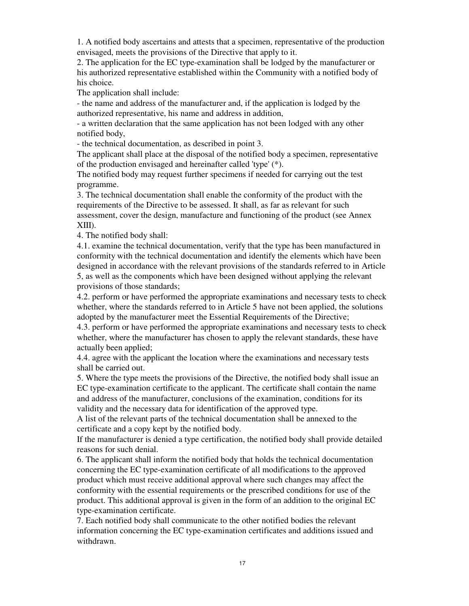1. A notified body ascertains and attests that a specimen, representative of the production envisaged, meets the provisions of the Directive that apply to it.

2. The application for the EC type-examination shall be lodged by the manufacturer or his authorized representative established within the Community with a notified body of his choice.

The application shall include:

- the name and address of the manufacturer and, if the application is lodged by the authorized representative, his name and address in addition,

- a written declaration that the same application has not been lodged with any other notified body,

- the technical documentation, as described in point 3.

The applicant shall place at the disposal of the notified body a specimen, representative of the production envisaged and hereinafter called 'type' (\*).

The notified body may request further specimens if needed for carrying out the test programme.

3. The technical documentation shall enable the conformity of the product with the requirements of the Directive to be assessed. It shall, as far as relevant for such assessment, cover the design, manufacture and functioning of the product (see Annex XIII).

4. The notified body shall:

4.1. examine the technical documentation, verify that the type has been manufactured in conformity with the technical documentation and identify the elements which have been designed in accordance with the relevant provisions of the standards referred to in Article 5, as well as the components which have been designed without applying the relevant provisions of those standards;

4.2. perform or have performed the appropriate examinations and necessary tests to check whether, where the standards referred to in Article 5 have not been applied, the solutions adopted by the manufacturer meet the Essential Requirements of the Directive;

4.3. perform or have performed the appropriate examinations and necessary tests to check whether, where the manufacturer has chosen to apply the relevant standards, these have actually been applied;

4.4. agree with the applicant the location where the examinations and necessary tests shall be carried out.

5. Where the type meets the provisions of the Directive, the notified body shall issue an EC type-examination certificate to the applicant. The certificate shall contain the name and address of the manufacturer, conclusions of the examination, conditions for its validity and the necessary data for identification of the approved type.

A list of the relevant parts of the technical documentation shall be annexed to the certificate and a copy kept by the notified body.

If the manufacturer is denied a type certification, the notified body shall provide detailed reasons for such denial.

6. The applicant shall inform the notified body that holds the technical documentation concerning the EC type-examination certificate of all modifications to the approved product which must receive additional approval where such changes may affect the conformity with the essential requirements or the prescribed conditions for use of the product. This additional approval is given in the form of an addition to the original EC type-examination certificate.

7. Each notified body shall communicate to the other notified bodies the relevant information concerning the EC type-examination certificates and additions issued and withdrawn.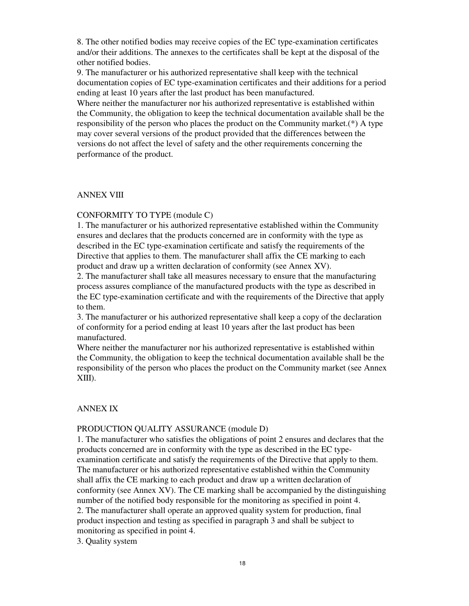8. The other notified bodies may receive copies of the EC type-examination certificates and/or their additions. The annexes to the certificates shall be kept at the disposal of the other notified bodies.

9. The manufacturer or his authorized representative shall keep with the technical documentation copies of EC type-examination certificates and their additions for a period ending at least 10 years after the last product has been manufactured.

Where neither the manufacturer nor his authorized representative is established within the Community, the obligation to keep the technical documentation available shall be the responsibility of the person who places the product on the Community market.(\*) A type may cover several versions of the product provided that the differences between the versions do not affect the level of safety and the other requirements concerning the performance of the product.

#### ANNEX VIII

## CONFORMITY TO TYPE (module C)

1. The manufacturer or his authorized representative established within the Community ensures and declares that the products concerned are in conformity with the type as described in the EC type-examination certificate and satisfy the requirements of the Directive that applies to them. The manufacturer shall affix the CE marking to each product and draw up a written declaration of conformity (see Annex XV).

2. The manufacturer shall take all measures necessary to ensure that the manufacturing process assures compliance of the manufactured products with the type as described in the EC type-examination certificate and with the requirements of the Directive that apply to them.

3. The manufacturer or his authorized representative shall keep a copy of the declaration of conformity for a period ending at least 10 years after the last product has been manufactured.

Where neither the manufacturer nor his authorized representative is established within the Community, the obligation to keep the technical documentation available shall be the responsibility of the person who places the product on the Community market (see Annex XIII).

## ANNEX IX

## PRODUCTION QUALITY ASSURANCE (module D)

1. The manufacturer who satisfies the obligations of point 2 ensures and declares that the products concerned are in conformity with the type as described in the EC typeexamination certificate and satisfy the requirements of the Directive that apply to them. The manufacturer or his authorized representative established within the Community shall affix the CE marking to each product and draw up a written declaration of conformity (see Annex XV). The CE marking shall be accompanied by the distinguishing number of the notified body responsible for the monitoring as specified in point 4. 2. The manufacturer shall operate an approved quality system for production, final product inspection and testing as specified in paragraph 3 and shall be subject to monitoring as specified in point 4.

3. Quality system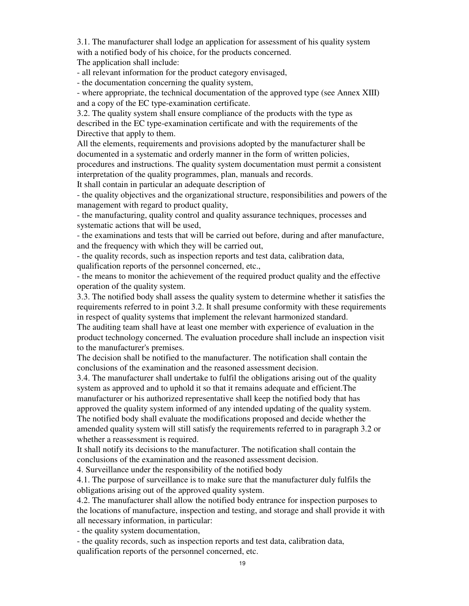3.1. The manufacturer shall lodge an application for assessment of his quality system with a notified body of his choice, for the products concerned.

The application shall include:

- all relevant information for the product category envisaged,

- the documentation concerning the quality system,

- where appropriate, the technical documentation of the approved type (see Annex XIII) and a copy of the EC type-examination certificate.

3.2. The quality system shall ensure compliance of the products with the type as described in the EC type-examination certificate and with the requirements of the Directive that apply to them.

All the elements, requirements and provisions adopted by the manufacturer shall be documented in a systematic and orderly manner in the form of written policies,

procedures and instructions. The quality system documentation must permit a consistent interpretation of the quality programmes, plan, manuals and records.

It shall contain in particular an adequate description of

- the quality objectives and the organizational structure, responsibilities and powers of the management with regard to product quality,

- the manufacturing, quality control and quality assurance techniques, processes and systematic actions that will be used,

- the examinations and tests that will be carried out before, during and after manufacture, and the frequency with which they will be carried out,

- the quality records, such as inspection reports and test data, calibration data, qualification reports of the personnel concerned, etc.,

- the means to monitor the achievement of the required product quality and the effective operation of the quality system.

3.3. The notified body shall assess the quality system to determine whether it satisfies the requirements referred to in point 3.2. It shall presume conformity with these requirements in respect of quality systems that implement the relevant harmonized standard.

The auditing team shall have at least one member with experience of evaluation in the product technology concerned. The evaluation procedure shall include an inspection visit to the manufacturer's premises.

The decision shall be notified to the manufacturer. The notification shall contain the conclusions of the examination and the reasoned assessment decision.

3.4. The manufacturer shall undertake to fulfil the obligations arising out of the quality system as approved and to uphold it so that it remains adequate and efficient.The manufacturer or his authorized representative shall keep the notified body that has approved the quality system informed of any intended updating of the quality system. The notified body shall evaluate the modifications proposed and decide whether the amended quality system will still satisfy the requirements referred to in paragraph 3.2 or

whether a reassessment is required.

It shall notify its decisions to the manufacturer. The notification shall contain the conclusions of the examination and the reasoned assessment decision.

4. Surveillance under the responsibility of the notified body

4.1. The purpose of surveillance is to make sure that the manufacturer duly fulfils the obligations arising out of the approved quality system.

4.2. The manufacturer shall allow the notified body entrance for inspection purposes to the locations of manufacture, inspection and testing, and storage and shall provide it with all necessary information, in particular:

- the quality system documentation,

- the quality records, such as inspection reports and test data, calibration data, qualification reports of the personnel concerned, etc.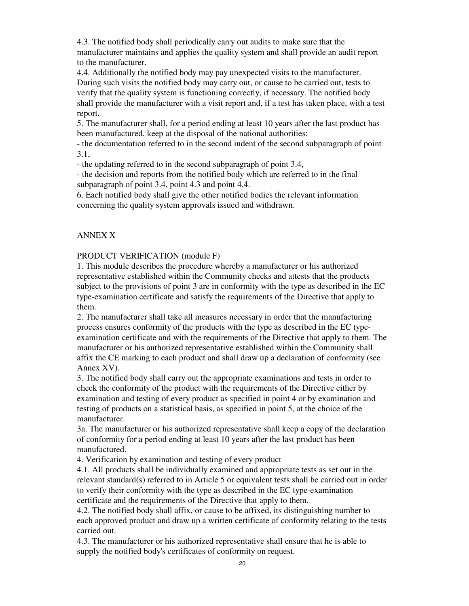4.3. The notified body shall periodically carry out audits to make sure that the manufacturer maintains and applies the quality system and shall provide an audit report to the manufacturer.

4.4. Additionally the notified body may pay unexpected visits to the manufacturer. During such visits the notified body may carry out, or cause to be carried out, tests to verify that the quality system is functioning correctly, if necessary. The notified body shall provide the manufacturer with a visit report and, if a test has taken place, with a test report.

5. The manufacturer shall, for a period ending at least 10 years after the last product has been manufactured, keep at the disposal of the national authorities:

- the documentation referred to in the second indent of the second subparagraph of point 3.1,

- the updating referred to in the second subparagraph of point 3.4,

- the decision and reports from the notified body which are referred to in the final subparagraph of point 3.4, point 4.3 and point 4.4.

6. Each notified body shall give the other notified bodies the relevant information concerning the quality system approvals issued and withdrawn.

## ANNEX X

#### PRODUCT VERIFICATION (module F)

1. This module describes the procedure whereby a manufacturer or his authorized representative established within the Community checks and attests that the products subject to the provisions of point 3 are in conformity with the type as described in the EC type-examination certificate and satisfy the requirements of the Directive that apply to them.

2. The manufacturer shall take all measures necessary in order that the manufacturing process ensures conformity of the products with the type as described in the EC typeexamination certificate and with the requirements of the Directive that apply to them. The manufacturer or his authorized representative established within the Community shall affix the CE marking to each product and shall draw up a declaration of conformity (see Annex XV).

3. The notified body shall carry out the appropriate examinations and tests in order to check the conformity of the product with the requirements of the Directive either by examination and testing of every product as specified in point 4 or by examination and testing of products on a statistical basis, as specified in point 5, at the choice of the manufacturer.

3a. The manufacturer or his authorized representative shall keep a copy of the declaration of conformity for a period ending at least 10 years after the last product has been manufactured.

4. Verification by examination and testing of every product

4.1. All products shall be individually examined and appropriate tests as set out in the relevant standard(s) referred to in Article 5 or equivalent tests shall be carried out in order to verify their conformity with the type as described in the EC type-examination certificate and the requirements of the Directive that apply to them.

4.2. The notified body shall affix, or cause to be affixed, its distinguishing number to each approved product and draw up a written certificate of conformity relating to the tests carried out.

4.3. The manufacturer or his authorized representative shall ensure that he is able to supply the notified body's certificates of conformity on request.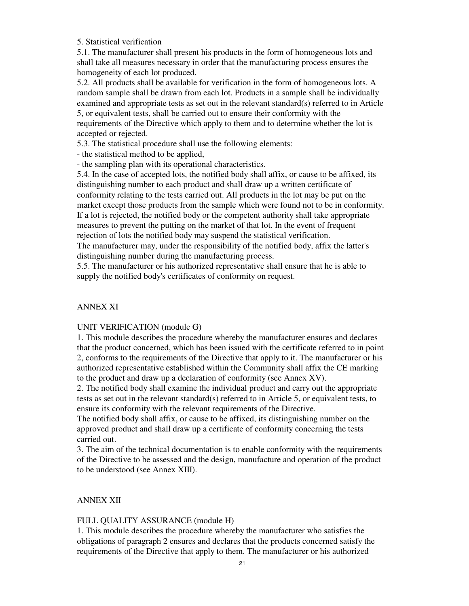5. Statistical verification

5.1. The manufacturer shall present his products in the form of homogeneous lots and shall take all measures necessary in order that the manufacturing process ensures the homogeneity of each lot produced.

5.2. All products shall be available for verification in the form of homogeneous lots. A random sample shall be drawn from each lot. Products in a sample shall be individually examined and appropriate tests as set out in the relevant standard(s) referred to in Article 5, or equivalent tests, shall be carried out to ensure their conformity with the requirements of the Directive which apply to them and to determine whether the lot is

accepted or rejected. 5.3. The statistical procedure shall use the following elements:

- the statistical method to be applied,

- the sampling plan with its operational characteristics.

5.4. In the case of accepted lots, the notified body shall affix, or cause to be affixed, its distinguishing number to each product and shall draw up a written certificate of conformity relating to the tests carried out. All products in the lot may be put on the market except those products from the sample which were found not to be in conformity. If a lot is rejected, the notified body or the competent authority shall take appropriate measures to prevent the putting on the market of that lot. In the event of frequent rejection of lots the notified body may suspend the statistical verification.

The manufacturer may, under the responsibility of the notified body, affix the latter's distinguishing number during the manufacturing process.

5.5. The manufacturer or his authorized representative shall ensure that he is able to supply the notified body's certificates of conformity on request.

## ANNEX XI

#### UNIT VERIFICATION (module G)

1. This module describes the procedure whereby the manufacturer ensures and declares that the product concerned, which has been issued with the certificate referred to in point 2, conforms to the requirements of the Directive that apply to it. The manufacturer or his authorized representative established within the Community shall affix the CE marking to the product and draw up a declaration of conformity (see Annex XV).

2. The notified body shall examine the individual product and carry out the appropriate tests as set out in the relevant standard(s) referred to in Article 5, or equivalent tests, to ensure its conformity with the relevant requirements of the Directive.

The notified body shall affix, or cause to be affixed, its distinguishing number on the approved product and shall draw up a certificate of conformity concerning the tests carried out.

3. The aim of the technical documentation is to enable conformity with the requirements of the Directive to be assessed and the design, manufacture and operation of the product to be understood (see Annex XIII).

## ANNEX XII

#### FULL QUALITY ASSURANCE (module H)

1. This module describes the procedure whereby the manufacturer who satisfies the obligations of paragraph 2 ensures and declares that the products concerned satisfy the requirements of the Directive that apply to them. The manufacturer or his authorized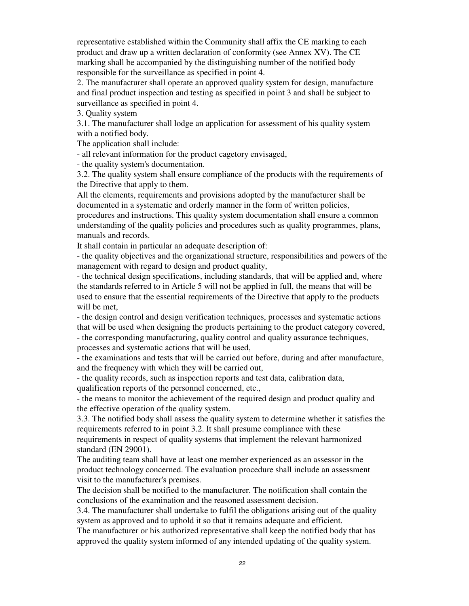representative established within the Community shall affix the CE marking to each product and draw up a written declaration of conformity (see Annex XV). The CE marking shall be accompanied by the distinguishing number of the notified body responsible for the surveillance as specified in point 4.

2. The manufacturer shall operate an approved quality system for design, manufacture and final product inspection and testing as specified in point 3 and shall be subject to surveillance as specified in point 4.

3. Quality system

3.1. The manufacturer shall lodge an application for assessment of his quality system with a notified body.

The application shall include:

- all relevant information for the product cagetory envisaged,

- the quality system's documentation.

3.2. The quality system shall ensure compliance of the products with the requirements of the Directive that apply to them.

All the elements, requirements and provisions adopted by the manufacturer shall be documented in a systematic and orderly manner in the form of written policies,

procedures and instructions. This quality system documentation shall ensure a common understanding of the quality policies and procedures such as quality programmes, plans, manuals and records.

It shall contain in particular an adequate description of:

- the quality objectives and the organizational structure, responsibilities and powers of the management with regard to design and product quality,

- the technical design specifications, including standards, that will be applied and, where the standards referred to in Article 5 will not be applied in full, the means that will be used to ensure that the essential requirements of the Directive that apply to the products will be met,

- the design control and design verification techniques, processes and systematic actions that will be used when designing the products pertaining to the product category covered, - the corresponding manufacturing, quality control and quality assurance techniques, processes and systematic actions that will be used,

- the examinations and tests that will be carried out before, during and after manufacture, and the frequency with which they will be carried out,

- the quality records, such as inspection reports and test data, calibration data, qualification reports of the personnel concerned, etc.,

- the means to monitor the achievement of the required design and product quality and the effective operation of the quality system.

3.3. The notified body shall assess the quality system to determine whether it satisfies the requirements referred to in point 3.2. It shall presume compliance with these requirements in respect of quality systems that implement the relevant harmonized standard (EN 29001).

The auditing team shall have at least one member experienced as an assessor in the product technology concerned. The evaluation procedure shall include an assessment visit to the manufacturer's premises.

The decision shall be notified to the manufacturer. The notification shall contain the conclusions of the examination and the reasoned assessment decision.

3.4. The manufacturer shall undertake to fulfil the obligations arising out of the quality system as approved and to uphold it so that it remains adequate and efficient.

The manufacturer or his authorized representative shall keep the notified body that has approved the quality system informed of any intended updating of the quality system.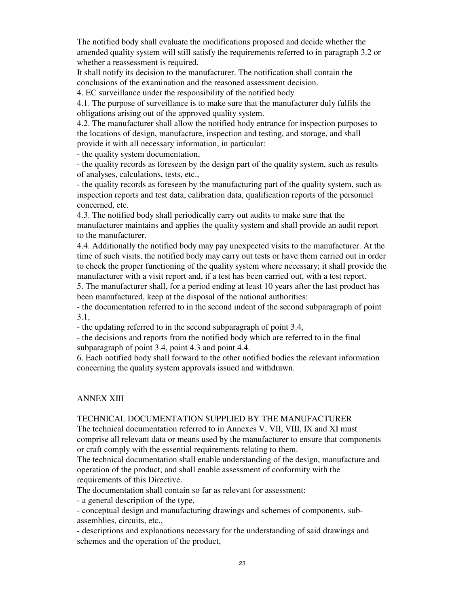The notified body shall evaluate the modifications proposed and decide whether the amended quality system will still satisfy the requirements referred to in paragraph 3.2 or whether a reassessment is required.

It shall notify its decision to the manufacturer. The notification shall contain the conclusions of the examination and the reasoned assessment decision.

4. EC surveillance under the responsibility of the notified body

4.1. The purpose of surveillance is to make sure that the manufacturer duly fulfils the obligations arising out of the approved quality system.

4.2. The manufacturer shall allow the notified body entrance for inspection purposes to the locations of design, manufacture, inspection and testing, and storage, and shall provide it with all necessary information, in particular:

- the quality system documentation,

- the quality records as foreseen by the design part of the quality system, such as results of analyses, calculations, tests, etc.,

- the quality records as foreseen by the manufacturing part of the quality system, such as inspection reports and test data, calibration data, qualification reports of the personnel concerned, etc.

4.3. The notified body shall periodically carry out audits to make sure that the manufacturer maintains and applies the quality system and shall provide an audit report to the manufacturer.

4.4. Additionally the notified body may pay unexpected visits to the manufacturer. At the time of such visits, the notified body may carry out tests or have them carried out in order to check the proper functioning of the quality system where necessary; it shall provide the manufacturer with a visit report and, if a test has been carried out, with a test report.

5. The manufacturer shall, for a period ending at least 10 years after the last product has been manufactured, keep at the disposal of the national authorities:

- the documentation referred to in the second indent of the second subparagraph of point 3.1,

- the updating referred to in the second subparagraph of point 3.4,

- the decisions and reports from the notified body which are referred to in the final subparagraph of point 3.4, point 4.3 and point 4.4.

6. Each notified body shall forward to the other notified bodies the relevant information concerning the quality system approvals issued and withdrawn.

## ANNEX XIII

### TECHNICAL DOCUMENTATION SUPPLIED BY THE MANUFACTURER

The technical documentation referred to in Annexes V, VII, VIII, IX and XI must comprise all relevant data or means used by the manufacturer to ensure that components or craft comply with the essential requirements relating to them.

The technical documentation shall enable understanding of the design, manufacture and operation of the product, and shall enable assessment of conformity with the requirements of this Directive.

The documentation shall contain so far as relevant for assessment:

- a general description of the type,

- conceptual design and manufacturing drawings and schemes of components, subassemblies, circuits, etc.,

- descriptions and explanations necessary for the understanding of said drawings and schemes and the operation of the product,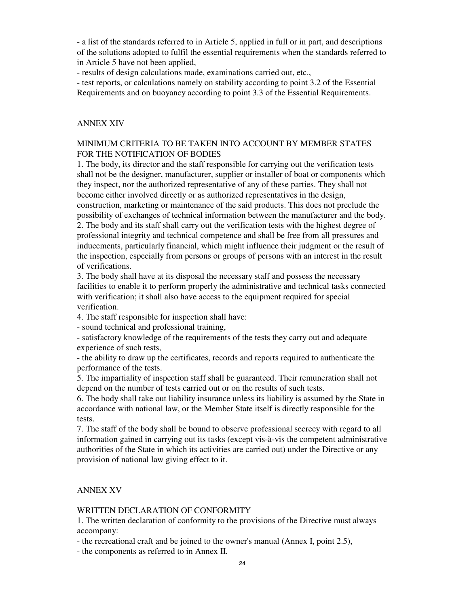- a list of the standards referred to in Article 5, applied in full or in part, and descriptions of the solutions adopted to fulfil the essential requirements when the standards referred to in Article 5 have not been applied,

- results of design calculations made, examinations carried out, etc.,

- test reports, or calculations namely on stability according to point 3.2 of the Essential Requirements and on buoyancy according to point 3.3 of the Essential Requirements.

#### ANNEX XIV

# MINIMUM CRITERIA TO BE TAKEN INTO ACCOUNT BY MEMBER STATES FOR THE NOTIFICATION OF BODIES

1. The body, its director and the staff responsible for carrying out the verification tests shall not be the designer, manufacturer, supplier or installer of boat or components which they inspect, nor the authorized representative of any of these parties. They shall not become either involved directly or as authorized representatives in the design, construction, marketing or maintenance of the said products. This does not preclude the possibility of exchanges of technical information between the manufacturer and the body. 2. The body and its staff shall carry out the verification tests with the highest degree of professional integrity and technical competence and shall be free from all pressures and inducements, particularly financial, which might influence their judgment or the result of the inspection, especially from persons or groups of persons with an interest in the result of verifications.

3. The body shall have at its disposal the necessary staff and possess the necessary facilities to enable it to perform properly the administrative and technical tasks connected with verification; it shall also have access to the equipment required for special verification.

4. The staff responsible for inspection shall have:

- sound technical and professional training,

- satisfactory knowledge of the requirements of the tests they carry out and adequate experience of such tests,

- the ability to draw up the certificates, records and reports required to authenticate the performance of the tests.

5. The impartiality of inspection staff shall be guaranteed. Their remuneration shall not depend on the number of tests carried out or on the results of such tests.

6. The body shall take out liability insurance unless its liability is assumed by the State in accordance with national law, or the Member State itself is directly responsible for the tests.

7. The staff of the body shall be bound to observe professional secrecy with regard to all information gained in carrying out its tasks (except vis-à-vis the competent administrative authorities of the State in which its activities are carried out) under the Directive or any provision of national law giving effect to it.

### ANNEX XV

### WRITTEN DECLARATION OF CONFORMITY

1. The written declaration of conformity to the provisions of the Directive must always accompany:

- the recreational craft and be joined to the owner's manual (Annex I, point 2.5),

- the components as referred to in Annex II.